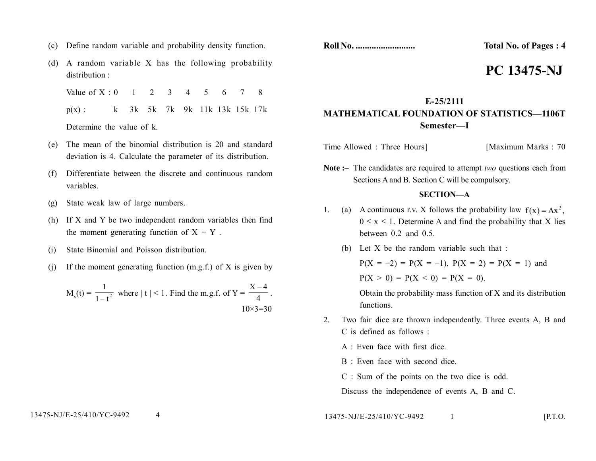- (c) Define random variable and probability density function.
- (d) A random variable X has the following probability distribution :

Value of  $X \cdot 0$  1 2 3 4 5 6 7 8 p(x) : k 3k 5k 7k 9k 11k 13k 15k 17k Determine the value of k.

- (e) The mean of the binomial distribution is 20 and standard deviation is 4. Calculate the parameter of its distribution.
- (f) Differentiate between the discrete and continuous random variables.
- (g) State weak law of large numbers.
- (h) If X and Y be two independent random variables then find the moment generating function of  $X + Y$ .
- (i) State Binomial and Poisson distribution.
- (i) If the moment generating function  $(m.g.f.)$  of X is given by

$$
M_x(t) = \frac{1}{1 - t^2} \text{ where } |t| < 1. \text{ Find the m.g.f. of } Y = \frac{X - 4}{4}.
$$
\n
$$
10 \times 3 = 30
$$

**Roll No. .......................... Total No. of Pages : 4**

# **PC 13475-NJ**

# **E-25/2111 MATHEMATICAL FOUNDATION OF STATISTICS—1106T Semester—I**

Time Allowed : Three Hours] [Maximum Marks : 70

**Note :–** The candidates are required to attempt *two* questions each from Sections A and B. Section C will be compulsory.

## **SECTION—A**

- 1. (a) A continuous r.v. X follows the probability law  $f(x) = Ax^2$ ,  $0 \le x \le 1$ . Determine A and find the probability that X lies between 0.2 and 0.5.
	- (b) Let X be the random variable such that :

 $P(X = -2) = P(X = -1)$ ,  $P(X = 2) = P(X = 1)$  and  $P(X > 0) = P(X < 0) = P(X = 0)$ .

Obtain the probability mass function of X and its distribution functions.

- 2. Two fair dice are thrown independently. Three events A, B and C is defined as follows :
	- $A$   $\cdot$  Even face with first dice.
	- B : Even face with second dice.
	- C : Sum of the points on the two dice is odd.
	- Discuss the independence of events A, B and C.

13475-NJ/E-25/410/YC-9492 1 [P.T.O.]